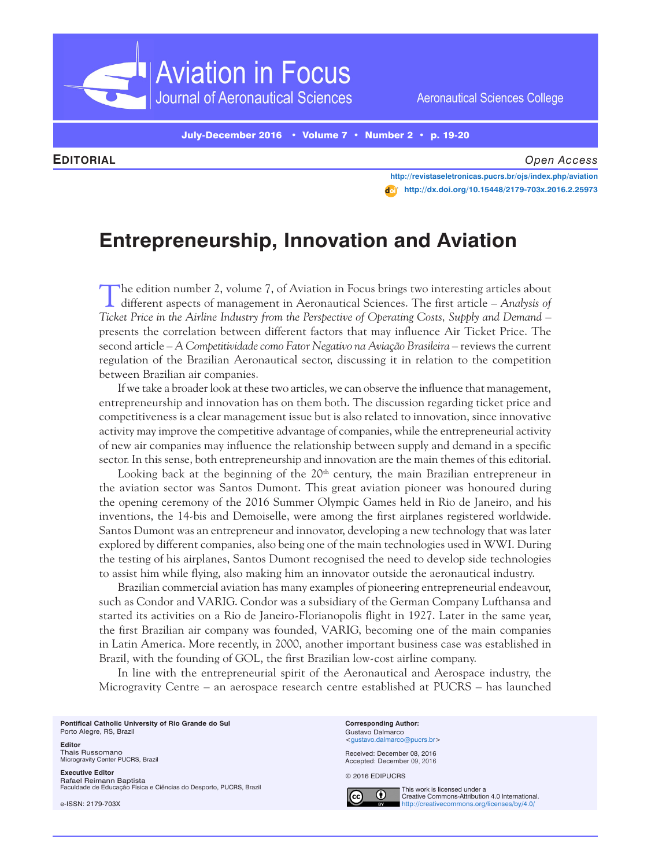**Aeronautical Sciences College** 

July-December 2016 • Volume 7 • Number 2 • p. 19-20

**Aviation in Focus** 

**Journal of Aeronautical Sciences** 

**Editorial** *Open Access*

**[http://revistaseletronicas.pucrs.br/ojs/index.php/a](http://revistaseletronicas.pucrs.br/ojs/index.php/aviation)viation <http://dx.doi.org/10.15448/2179-703x.2016.2.25973>**

## **Entrepreneurship, Innovation and Aviation**

The edition number 2, volume 7, of Aviation in Focus brings two interesting articles about different aspects of management in Aeronautical Sciences. The first article – *Analysis of Ticket Price in the Airline Industry from the Perspective of Operating Costs, Supply and Demand* – presents the correlation between different factors that may influence Air Ticket Price. The second article – *A Competitividade como Fator Negativo na Aviação Brasileira* – reviews the current regulation of the Brazilian Aeronautical sector, discussing it in relation to the competition between Brazilian air companies.

If we take a broader look at these two articles, we can observe the influence that management, entrepreneurship and innovation has on them both. The discussion regarding ticket price and competitiveness is a clear management issue but is also related to innovation, since innovative activity may improve the competitive advantage of companies, while the entrepreneurial activity of new air companies may influence the relationship between supply and demand in a specific sector. In this sense, both entrepreneurship and innovation are the main themes of this editorial.

Looking back at the beginning of the 20<sup>th</sup> century, the main Brazilian entrepreneur in the aviation sector was Santos Dumont. This great aviation pioneer was honoured during the opening ceremony of the 2016 Summer Olympic Games held in Rio de Janeiro, and his inventions, the 14-bis and Demoiselle, were among the first airplanes registered worldwide. Santos Dumont was an entrepreneur and innovator, developing a new technology that was later explored by different companies, also being one of the main technologies used in WWI. During the testing of his airplanes, Santos Dumont recognised the need to develop side technologies to assist him while flying, also making him an innovator outside the aeronautical industry.

Brazilian commercial aviation has many examples of pioneering entrepreneurial endeavour, such as Condor and VARIG. Condor was a subsidiary of the German Company Lufthansa and started its activities on a Rio de Janeiro-Florianopolis flight in 1927. Later in the same year, the first Brazilian air company was founded, VARIG, becoming one of the main companies in Latin America. More recently, in 2000, another important business case was established in Brazil, with the founding of GOL, the first Brazilian low-cost airline company.

In line with the entrepreneurial spirit of the Aeronautical and Aerospace industry, the Microgravity Centre – an aerospace research centre established at PUCRS – has launched

**Pontifical Catholic University of Rio Grande do Sul** Porto Alegre, RS, Brazil **Editor**

## Thais Russomano

Microgravity Center PUCRS, Brazil

## **Executive Editor**

Rafael Reimann Baptista Faculdade de Educação Física e Ciências do Desporto, PUCRS, Brazil

e-ISSN: 2179-703X

**Corresponding Author:** Gustavo Dalmarco [<gustavo.dalmarco@pucrs.br](mailto:gustavo.dalmarco@pucrs.br)>

Received: December 08, 2016 Accepted: December 09, 2016

© 2016 EDIPUCRS



This work is licensed under a Creative Commons-Attribution 4.0 International. <http://creativecommons.org/licenses/by/4.0/>